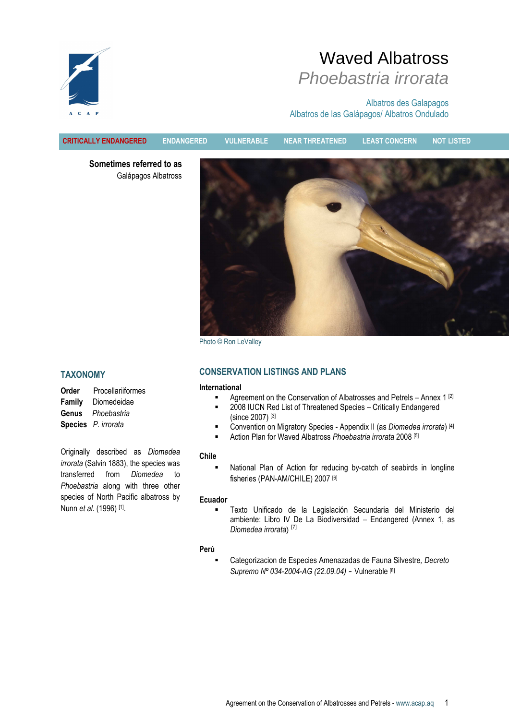

# Waved Albatross Phoebastria irrorata

Albatros des Galapagos Albatros de las Galápagos/ Albatros Ondulado

Sometimes referred to as Galápagos Albatross



Photo © Ron LeValley

# TAXONOMY

| Order  | Procellariiformes   |
|--------|---------------------|
| Family | Diomedeidae         |
| Genus  | Phoebastria         |
|        | Species P. irrorata |

Originally described as Diomedea irrorata (Salvin 1883), the species was transferred from Diomedea to Phoebastria along with three other species of North Pacific albatross by Nunn *et al*. (1996) <sup>[1]</sup>.

# CONSERVATION LISTINGS AND PLANS

CRITICALLY ENDANGERED ENDANGERED VULNERABLE NEAR THREATENED LEAST CONCERN NOT LISTED

# International

- **Agreement on the Conservation of Albatrosses and Petrels Annex 1 [2]**
- **2008 IUCN Red List of Threatened Species Critically Endangered** (since 2007) [3]
- Convention on Migratory Species Appendix II (as Diomedea irrorata) [4]
- Action Plan for Waved Albatross Phoebastria irrorata 2008 [5]

#### Chile

 National Plan of Action for reducing by-catch of seabirds in longline fisheries (PAN-AM/CHILE) 2007<sup>[6]</sup>

#### Ecuador

 Texto Unificado de la Legislación Secundaria del Ministerio del ambiente: Libro IV De La Biodiversidad – Endangered (Annex 1, as Diomedea irrorata) [7]

#### Perú

 Categorizacion de Especies Amenazadas de Fauna Silvestre, Decreto Supremo Nº 034-2004-AG (22.09.04) **-** Vulnerable [8]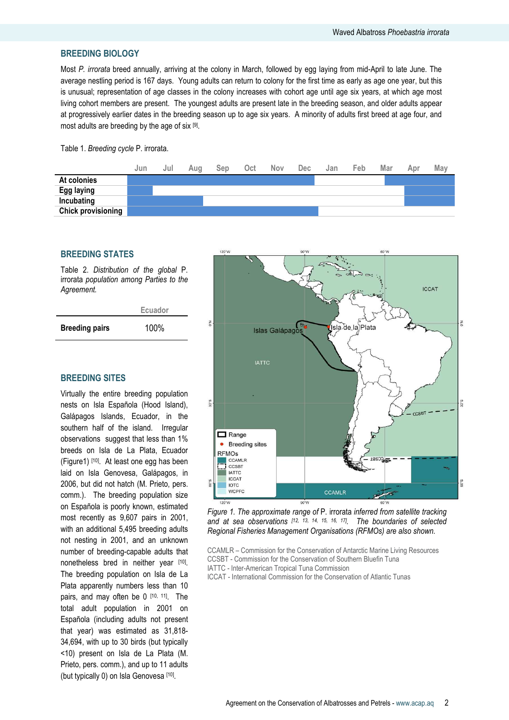# BREEDING BIOLOGY

Most P. irrorata breed annually, arriving at the colony in March, followed by egg laying from mid-April to late June. The average nestling period is 167 days. Young adults can return to colony for the first time as early as age one year, but this is unusual; representation of age classes in the colony increases with cohort age until age six years, at which age most living cohort members are present. The youngest adults are present late in the breeding season, and older adults appear at progressively earlier dates in the breeding season up to age six years. A minority of adults first breed at age four, and most adults are breeding by the age of six [9].

#### Table 1. Breeding cycle P. irrorata.



#### BREEDING STATES

Table 2. Distribution of the global P. irrorata population among Parties to the Agreement.

|                       | Ecuador |
|-----------------------|---------|
| <b>Breeding pairs</b> | 100%    |

# BREEDING SITES

Virtually the entire breeding population nests on Isla Española (Hood Island), Galápagos Islands, Ecuador, in the southern half of the island. Irregular observations suggest that less than 1% breeds on Isla de La Plata, Ecuador (Figure1) [10]. At least one egg has been laid on Isla Genovesa, Galápagos, in 2006, but did not hatch (M. Prieto, pers. comm.). The breeding population size on Española is poorly known, estimated most recently as 9,607 pairs in 2001, with an additional 5,495 breeding adults not nesting in 2001, and an unknown number of breeding-capable adults that nonetheless bred in neither year [10]. The breeding population on Isla de La Plata apparently numbers less than 10 pairs, and may often be  $0$   $[10, 11]$ . The total adult population in 2001 on Española (including adults not present that year) was estimated as 31,818- 34,694, with up to 30 birds (but typically <10) present on Isla de La Plata (M. Prieto, pers. comm.), and up to 11 adults (but typically 0) on Isla Genovesa [10].





- CCAMLR Commission for the Conservation of Antarctic Marine Living Resources CCSBT - Commission for the Conservation of Southern Bluefin Tuna IATTC - Inter-American Tropical Tuna Commission
- ICCAT International Commission for the Conservation of Atlantic Tunas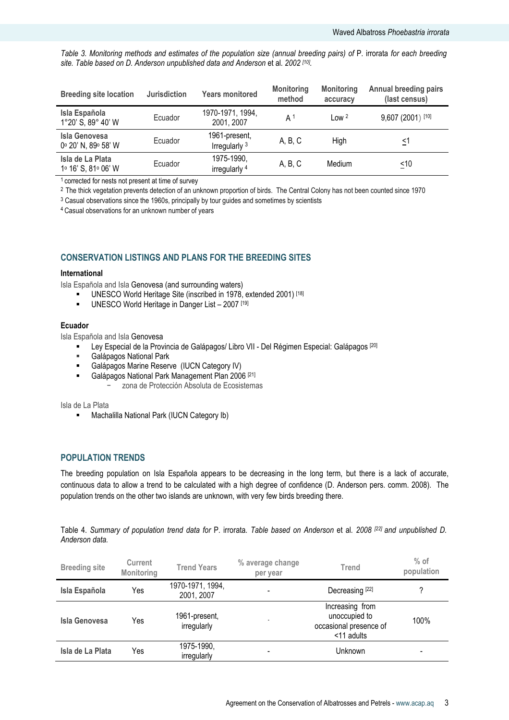Table 3. Monitoring methods and estimates of the population size (annual breeding pairs) of P. irrorata for each breeding site. Table based on D. Anderson unpublished data and Anderson et al. 2002 [10].

| <b>Breeding site location</b>               | <b>Jurisdiction</b> | <b>Years monitored</b>                    | <b>Monitoring</b><br>method | <b>Monitoring</b><br>accuracy | Annual breeding pairs<br>(last census) |
|---------------------------------------------|---------------------|-------------------------------------------|-----------------------------|-------------------------------|----------------------------------------|
| Isla Española<br>1°20' S, 89° 40' W         | Ecuador             | 1970-1971, 1994,<br>2001, 2007            | A <sup>1</sup>              | Low <sup>2</sup>              | 9,607 (2001) [10]                      |
| <b>Isla Genovesa</b><br>0° 20' N, 89° 58' W | Ecuador             | 1961-present,<br>Irregularly <sup>3</sup> | A, B, C                     | High                          | ≤1                                     |
| Isla de La Plata<br>1º 16' S, 81º 06' W     | Ecuador             | 1975-1990,<br>irregularly <sup>4</sup>    | A, B, C                     | Medium                        | $\leq 10$                              |

<sup>1</sup> corrected for nests not present at time of survey

<sup>2</sup> The thick vegetation prevents detection of an unknown proportion of birds. The Central Colony has not been counted since 1970

<sup>3</sup> Casual observations since the 1960s, principally by tour guides and sometimes by scientists

<sup>4</sup>Casual observations for an unknown number of years

# CONSERVATION LISTINGS AND PLANS FOR THE BREEDING SITES

#### International

Isla Española and Isla Genovesa (and surrounding waters)

- UNESCO World Heritage Site (inscribed in 1978, extended 2001) [18]
- UNESCO World Heritage in Danger List 2007<sup>[19]</sup>

#### Ecuador

Isla Española and Isla Genovesa

- Eury Especial de la Provincia de Galápagos/ Libro VII Del Régimen Especial: Galápagos <sup>[20]</sup><br>
Galápagos National Park
- Galápagos National Park
- **-** Galápagos Marine Reserve (IUCN Category IV)
- Galápagos National Park Management Plan 2006<sup>[21]</sup>
	- − zona de Protección Absoluta de Ecosistemas

Isla de La Plata

**Machalilla National Park (IUCN Category Ib)** 

# POPULATION TRENDS

The breeding population on Isla Española appears to be decreasing in the long term, but there is a lack of accurate, continuous data to allow a trend to be calculated with a high degree of confidence (D. Anderson pers. comm. 2008). The population trends on the other two islands are unknown, with very few birds breeding there.

Table 4. Summary of population trend data for P. irrorata. Table based on Anderson et al. 2008 [22] and unpublished D. Anderson data.

| <b>Breeding site</b> | <b>Current</b><br><b>Monitoring</b> | <b>Trend Years</b>             | % average change<br>per year | Trend                                                                    | $%$ of<br>population |
|----------------------|-------------------------------------|--------------------------------|------------------------------|--------------------------------------------------------------------------|----------------------|
| Isla Española        | Yes                                 | 1970-1971, 1994,<br>2001, 2007 | $\blacksquare$               | Decreasing <sup>[22]</sup>                                               | ?                    |
| Isla Genovesa        | Yes                                 | 1961-present,<br>irregularly   | $\overline{\phantom{a}}$     | Increasing from<br>unoccupied to<br>occasional presence of<br><11 adults | 100%                 |
| Isla de La Plata     | Yes                                 | 1975-1990,<br>irregularly      | $\overline{\phantom{a}}$     | Unknown                                                                  |                      |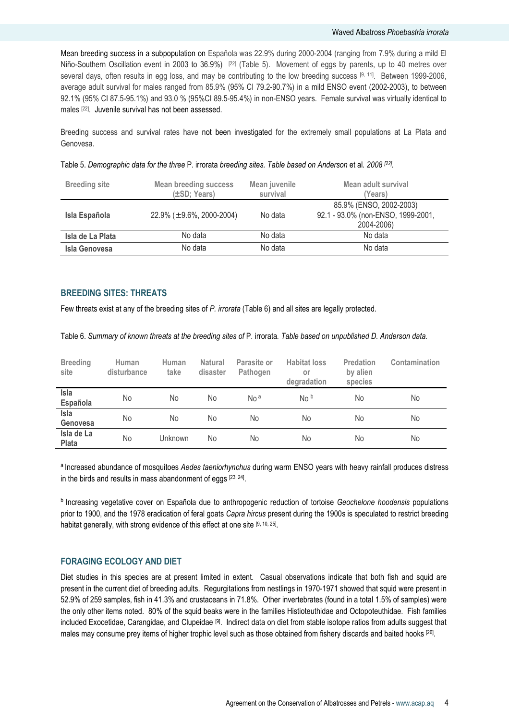Mean breeding success in a subpopulation on Española was 22.9% during 2000-2004 (ranging from 7.9% during a mild El Niño-Southern Oscillation event in 2003 to 36.9%) <sup>[22]</sup> (Table 5). Movement of eggs by parents, up to 40 metres over several days, often results in egg loss, and may be contributing to the low breeding success [9, 11]. Between 1999-2006, average adult survival for males ranged from 85.9% (95% CI 79.2-90.7%) in a mild ENSO event (2002-2003), to between 92.1% (95% CI 87.5-95.1%) and 93.0 % (95%CI 89.5-95.4%) in non-ENSO years. Female survival was virtually identical to males [22] . Juvenile survival has not been assessed.

Breeding success and survival rates have not been investigated for the extremely small populations at La Plata and Genovesa.

Table 5. Demographic data for the three P. irrorata breeding sites. Table based on Anderson et al. 2008 <sup>[22]</sup>.

| <b>Breeding site</b> | <b>Mean breeding success</b><br>(±SD; Years) | Mean juvenile<br>survival | Mean adult survival<br>(Years)                                              |
|----------------------|----------------------------------------------|---------------------------|-----------------------------------------------------------------------------|
| Isla Española        | 22.9% ( $\pm$ 9.6%, 2000-2004)               | No data                   | 85.9% (ENSO, 2002-2003)<br>92.1 - 93.0% (non-ENSO, 1999-2001,<br>2004-2006) |
| Isla de La Plata     | No data                                      | No data                   | No data                                                                     |
| <b>Isla Genovesa</b> | No data                                      | No data                   | No data                                                                     |

# BREEDING SITES: THREATS

Few threats exist at any of the breeding sites of P. irrorata (Table 6) and all sites are legally protected.

Table 6. Summary of known threats at the breeding sites of P. irrorata. Table based on unpublished D. Anderson data.

| <b>Breeding</b><br>site    | <b>Human</b><br>disturbance | Human<br>take  | <b>Natural</b><br>disaster | Parasite or<br>Pathogen | <b>Habitat loss</b><br>or<br>degradation | <b>Predation</b><br>by alien<br>species | Contamination |
|----------------------------|-----------------------------|----------------|----------------------------|-------------------------|------------------------------------------|-----------------------------------------|---------------|
| Isla<br>Española           | No                          | No             | No                         | No <sup>a</sup>         | No <sup>b</sup>                          | No                                      | No            |
| Isla<br>Genovesa           | No.                         | No             | No                         | No.                     | No                                       | No                                      | No            |
| Isla de La<br><b>Plata</b> | No                          | <b>Unknown</b> | No                         | No.                     | No                                       | No                                      | No            |

a Increased abundance of mosquitoes Aedes taeniorhynchus during warm ENSO years with heavy rainfall produces distress in the birds and results in mass abandonment of eggs  $[23, 24]$ .

**b** Increasing vegetative cover on Española due to anthropogenic reduction of tortoise Geochelone hoodensis populations prior to 1900, and the 1978 eradication of feral goats Capra hircus present during the 1900s is speculated to restrict breeding habitat generally, with strong evidence of this effect at one site [9, 10, 25].

# FORAGING ECOLOGY AND DIET

Diet studies in this species are at present limited in extent. Casual observations indicate that both fish and squid are present in the current diet of breeding adults. Regurgitations from nestlings in 1970-1971 showed that squid were present in 52.9% of 259 samples, fish in 41.3% and crustaceans in 71.8%. Other invertebrates (found in a total 1.5% of samples) were the only other items noted. 80% of the squid beaks were in the families Histioteuthidae and Octopoteuthidae. Fish families included Exocetidae, Carangidae, and Clupeidae [9]. Indirect data on diet from stable isotope ratios from adults suggest that males may consume prey items of higher trophic level such as those obtained from fishery discards and baited hooks [26].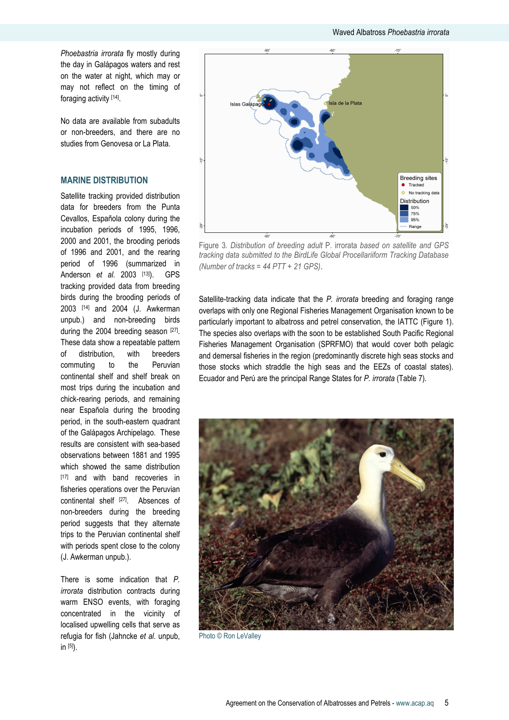Phoebastria irrorata fly mostly during the day in Galápagos waters and rest on the water at night, which may or may not reflect on the timing of foraging activity [14] .

No data are available from subadults or non-breeders, and there are no studies from Genovesa or La Plata.

# MARINE DISTRIBUTION

Satellite tracking provided distribution data for breeders from the Punta Cevallos, Española colony during the incubation periods of 1995, 1996, 2000 and 2001, the brooding periods of 1996 and 2001, and the rearing period of 1996 (summarized in Anderson et al. 2003 [13]). GPS tracking provided data from breeding birds during the brooding periods of 2003 [14] and 2004 (J. Awkerman unpub.) and non-breeding birds during the 2004 breeding season [27]. These data show a repeatable pattern of distribution, with breeders commuting to the Peruvian continental shelf and shelf break on most trips during the incubation and chick-rearing periods, and remaining near Española during the brooding period, in the south-eastern quadrant of the Galápagos Archipelago. These results are consistent with sea-based observations between 1881 and 1995 which showed the same distribution [17] and with band recoveries in fisheries operations over the Peruvian continental shelf <a>[27]</a>. Absences of non-breeders during the breeding period suggests that they alternate trips to the Peruvian continental shelf with periods spent close to the colony (J. Awkerman unpub.).

There is some indication that P. irrorata distribution contracts during warm ENSO events, with foraging concentrated in the vicinity of localised upwelling cells that serve as refugia for fish (Jahncke et al. unpub, in [5]).



Figure 3. Distribution of breeding adult P. irrorata based on satellite and GPS tracking data submitted to the BirdLife Global Procellariiform Tracking Database (Number of tracks = 44 PTT + 21 GPS).

Satellite-tracking data indicate that the P. irrorata breeding and foraging range overlaps with only one Regional Fisheries Management Organisation known to be particularly important to albatross and petrel conservation, the IATTC (Figure 1). The species also overlaps with the soon to be established South Pacific Regional Fisheries Management Organisation (SPRFMO) that would cover both pelagic and demersal fisheries in the region (predominantly discrete high seas stocks and those stocks which straddle the high seas and the EEZs of coastal states). Ecuador and Perú are the principal Range States for P. irrorata (Table 7).



Photo © Ron LeValley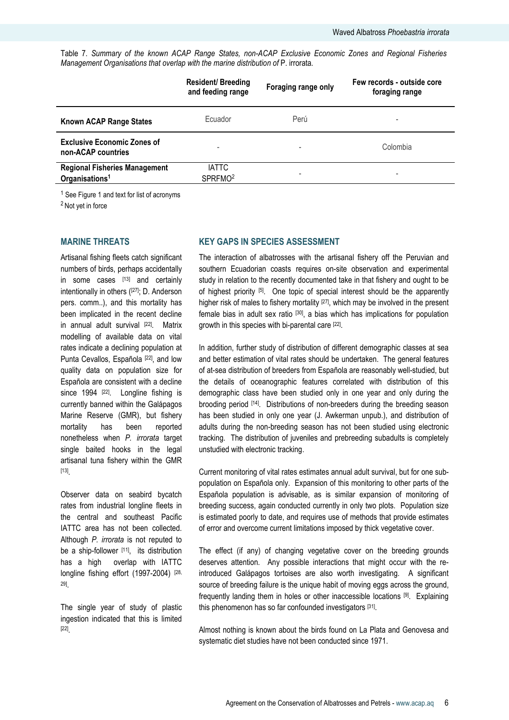Table 7. Summary of the known ACAP Range States, non-ACAP Exclusive Economic Zones and Regional Fisheries Management Organisations that overlap with the marine distribution of P. irrorata.

|                                                                    | <b>Resident/Breeding</b><br>and feeding range | Foraging range only | Few records - outside core<br>foraging range |
|--------------------------------------------------------------------|-----------------------------------------------|---------------------|----------------------------------------------|
| <b>Known ACAP Range States</b>                                     | Ecuador                                       | Perú                | -                                            |
| <b>Exclusive Economic Zones of</b><br>non-ACAP countries           |                                               |                     | Colombia                                     |
| <b>Regional Fisheries Management</b><br>Organisations <sup>1</sup> | <b>IATTC</b><br>SPRFMO <sup>2</sup>           | -                   | -                                            |

<sup>1</sup> See Figure 1 and text for list of acronyms

<sup>2</sup> Not yet in force

#### MARINE THREATS

Artisanal fishing fleets catch significant numbers of birds, perhaps accidentally in some cases [13] and certainly intentionally in others ([27]; D. Anderson pers. comm..), and this mortality has been implicated in the recent decline in annual adult survival [22]. Matrix modelling of available data on vital rates indicate a declining population at Punta Cevallos, Española [22], and low quality data on population size for Española are consistent with a decline since 1994 <sup>[22]</sup>. Longline fishing is currently banned within the Galápagos Marine Reserve (GMR), but fishery mortality has been reported nonetheless when P. irrorata target single baited hooks in the legal artisanal tuna fishery within the GMR [13] .

Observer data on seabird bycatch rates from industrial longline fleets in the central and southeast Pacific IATTC area has not been collected. Although P. irrorata is not reputed to be a ship-follower [11], its distribution has a high overlap with IATTC longline fishing effort (1997-2004) [28, 29] .

The single year of study of plastic ingestion indicated that this is limited [22] .

# KEY GAPS IN SPECIES ASSESSMENT

The interaction of albatrosses with the artisanal fishery off the Peruvian and southern Ecuadorian coasts requires on-site observation and experimental study in relation to the recently documented take in that fishery and ought to be of highest priority [5]. One topic of special interest should be the apparently higher risk of males to fishery mortality <sup>[27]</sup>, which may be involved in the present female bias in adult sex ratio [30], a bias which has implications for population growth in this species with bi-parental care <sup>[22]</sup>.

In addition, further study of distribution of different demographic classes at sea and better estimation of vital rates should be undertaken. The general features of at-sea distribution of breeders from Española are reasonably well-studied, but the details of oceanographic features correlated with distribution of this demographic class have been studied only in one year and only during the brooding period [14]. Distributions of non-breeders during the breeding season has been studied in only one year (J. Awkerman unpub.), and distribution of adults during the non-breeding season has not been studied using electronic tracking. The distribution of juveniles and prebreeding subadults is completely unstudied with electronic tracking.

Current monitoring of vital rates estimates annual adult survival, but for one subpopulation on Española only. Expansion of this monitoring to other parts of the Española population is advisable, as is similar expansion of monitoring of breeding success, again conducted currently in only two plots. Population size is estimated poorly to date, and requires use of methods that provide estimates of error and overcome current limitations imposed by thick vegetative cover.

The effect (if any) of changing vegetative cover on the breeding grounds deserves attention. Any possible interactions that might occur with the reintroduced Galápagos tortoises are also worth investigating. A significant source of breeding failure is the unique habit of moving eggs across the ground, frequently landing them in holes or other inaccessible locations [9]. Explaining this phenomenon has so far confounded investigators [31].

Almost nothing is known about the birds found on La Plata and Genovesa and systematic diet studies have not been conducted since 1971.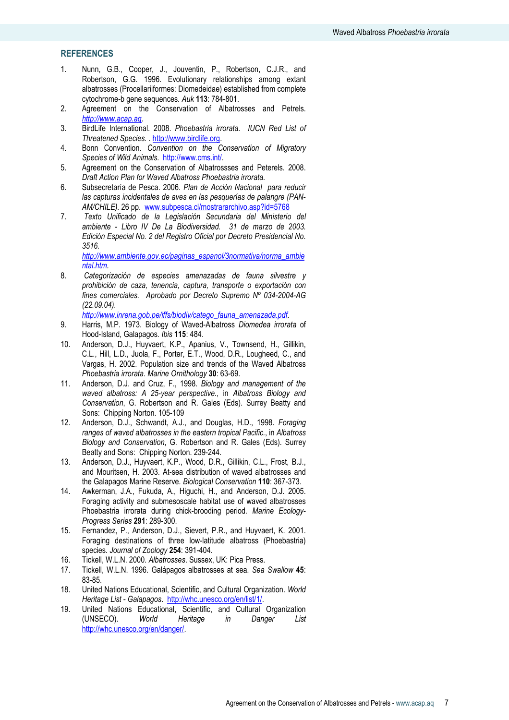# **REFERENCES**

- 1. Nunn, G.B., Cooper, J., Jouventin, P., Robertson, C.J.R., and Robertson, G.G. 1996. Evolutionary relationships among extant albatrosses (Procellariiformes: Diomedeidae) established from complete cytochrome-b gene sequences. Auk 113: 784-801.
- 2. Agreement on the Conservation of Albatrosses and Petrels. http://www.acap.aq.
- 3. BirdLife International. 2008. Phoebastria irrorata. IUCN Red List of Threatened Species. . http://www.birdlife.org.
- 4. Bonn Convention. Convention on the Conservation of Migratory Species of Wild Animals. http://www.cms.int/.
- 5. Agreement on the Conservation of Albatrossses and Peterels. 2008. Draft Action Plan for Waved Albatross Phoebastria irrorata.
- 6. Subsecretaría de Pesca. 2006. Plan de Acción Nacional para reducir las capturas incidentales de aves en las pesquerías de palangre (PAN-AM/CHILE). 26 pp. www.subpesca.cl/mostrararchivo.asp?id=5768
- 7. Texto Unificado de la Legislación Secundaria del Ministerio del ambiente - Libro IV De La Biodiversidad. 31 de marzo de 2003. Edición Especial No. 2 del Registro Oficial por Decreto Presidencial No. 3516.

http://www.ambiente.gov.ec/paginas\_espanol/3normativa/norma\_ambie ntal.htm.

8. Categorización de especies amenazadas de fauna silvestre y prohibición de caza, tenencia, captura, transporte o exportación con fines comerciales. Aprobado por Decreto Supremo Nº 034-2004-AG (22.09.04).

http://www.inrena.gob.pe/iffs/biodiv/catego\_fauna\_amenazada.pdf.

- 9. Harris, M.P. 1973. Biology of Waved-Albatross Diomedea irrorata of Hood-Island, Galapagos. Ibis 115: 484.
- 10. Anderson, D.J., Huyvaert, K.P., Apanius, V., Townsend, H., Gillikin, C.L., Hill, L.D., Juola, F., Porter, E.T., Wood, D.R., Lougheed, C., and Vargas, H. 2002. Population size and trends of the Waved Albatross Phoebastria irrorata. Marine Ornithology 30: 63-69.
- 11. Anderson, D.J. and Cruz, F., 1998. Biology and management of the waved albatross: A 25-year perspective., in Albatross Biology and Conservation, G. Robertson and R. Gales (Eds). Surrey Beatty and Sons: Chipping Norton. 105-109
- 12. Anderson, D.J., Schwandt, A.J., and Douglas, H.D., 1998. Foraging ranges of waved albatrosses in the eastern tropical Pacific., in Albatross Biology and Conservation, G. Robertson and R. Gales (Eds). Surrey Beatty and Sons: Chipping Norton. 239-244.
- 13. Anderson, D.J., Huyvaert, K.P., Wood, D.R., Gillikin, C.L., Frost, B.J., and Mouritsen, H. 2003. At-sea distribution of waved albatrosses and the Galapagos Marine Reserve. Biological Conservation 110: 367-373.
- 14. Awkerman, J.A., Fukuda, A., Higuchi, H., and Anderson, D.J. 2005. Foraging activity and submesoscale habitat use of waved albatrosses Phoebastria irrorata during chick-brooding period. Marine Ecology-Progress Series 291: 289-300.
- 15. Fernandez, P., Anderson, D.J., Sievert, P.R., and Huyvaert, K. 2001. Foraging destinations of three low-latitude albatross (Phoebastria) species. Journal of Zoology 254: 391-404.
- 16. Tickell, W.L.N. 2000. Albatrosses. Sussex, UK: Pica Press.
- 17. Tickell, W.L.N. 1996. Galápagos albatrosses at sea. Sea Swallow 45: 83-85.
- 18. United Nations Educational, Scientific, and Cultural Organization. World Heritage List - Galapagos. http://whc.unesco.org/en/list/1/.
- 19. United Nations Educational, Scientific, and Cultural Organization (UNSECO). World Heritage in Danger List http://whc.unesco.org/en/danger/.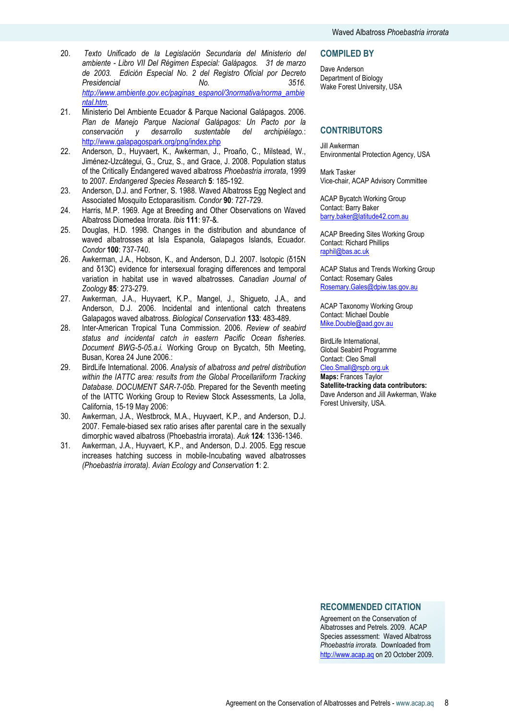- 20. Texto Unificado de la Legislación Secundaria del Ministerio del ambiente - Libro VII Del Régimen Especial: Galápagos. 31 de marzo de 2003. Edición Especial No. 2 del Registro Oficial por Decreto Presidencial No. No. 3516. http://www.ambiente.gov.ec/paginas\_espanol/3normativa/norma\_ambie ntal.htm.
- 21. Ministerio Del Ambiente Ecuador & Parque Nacional Galápagos. 2006. Plan de Manejo Parque Nacional Galápagos: Un Pacto por la conservación y desarrollo sustentable del archipiélago.: http://www.galapagospark.org/png/index.php
- 22. Anderson, D., Huyvaert, K., Awkerman, J., Proaño, C., Milstead, W., Jiménez-Uzcátegui, G., Cruz, S., and Grace, J. 2008. Population status of the Critically Endangered waved albatross Phoebastria irrorata, 1999 to 2007. Endangered Species Research 5: 185-192.
- 23. Anderson, D.J. and Fortner, S. 1988. Waved Albatross Egg Neglect and Associated Mosquito Ectoparasitism. Condor 90: 727-729.
- 24. Harris, M.P. 1969. Age at Breeding and Other Observations on Waved Albatross Diomedea Irrorata. Ibis 111: 97-&.
- 25. Douglas, H.D. 1998. Changes in the distribution and abundance of waved albatrosses at Isla Espanola, Galapagos Islands, Ecuador, Condor 100: 737-740.
- 26. Awkerman, J.A., Hobson, K., and Anderson, D.J. 2007. Isotopic (δ15N and δ13C) evidence for intersexual foraging differences and temporal variation in habitat use in waved albatrosses. Canadian Journal of Zoology 85: 273-279.
- 27. Awkerman, J.A., Huyvaert, K.P., Mangel, J., Shigueto, J.A., and Anderson, D.J. 2006. Incidental and intentional catch threatens Galapagos waved albatross. Biological Conservation 133: 483-489.
- 28. Inter-American Tropical Tuna Commission. 2006. Review of seabird status and incidental catch in eastern Pacific Ocean fisheries. Document BWG-5-05.a.i. Working Group on Bycatch, 5th Meeting, Busan, Korea 24 June 2006.:
- 29. BirdLife International. 2006. Analysis of albatross and petrel distribution within the IATTC area: results from the Global Procellariiform Tracking Database. DOCUMENT SAR-7-05b. Prepared for the Seventh meeting of the IATTC Working Group to Review Stock Assessments, La Jolla, California, 15-19 May 2006:
- 30. Awkerman, J.A., Westbrock, M.A., Huyvaert, K.P., and Anderson, D.J. 2007. Female-biased sex ratio arises after parental care in the sexually dimorphic waved albatross (Phoebastria irrorata). Auk 124: 1336-1346.
- 31. Awkerman, J.A., Huyvaert, K.P., and Anderson, D.J. 2005. Egg rescue increases hatching success in mobile-Incubating waved albatrosses (Phoebastria irrorata). Avian Ecology and Conservation 1: 2.

#### **COMPILED BY**

Dave Anderson Department of Biology Wake Forest University, USA

# **CONTRIBUTORS**

Jill Awkerman Environmental Protection Agency, USA

Mark Tasker Vice-chair, ACAP Advisory Committee

ACAP Bycatch Working Group Contact: Barry Baker barry.baker@latitude42.com.au

ACAP Breeding Sites Working Group Contact: Richard Phillips raphil@bas.ac.uk

ACAP Status and Trends Working Group Contact: Rosemary Gales Rosemary.Gales@dpiw.tas.gov.au

ACAP Taxonomy Working Group Contact: Michael Double Mike.Double@aad.gov.au

BirdLife International, Global Seabird Programme Contact: Cleo Small Cleo.Small@rspb.org.uk

Maps: Frances Taylor Satellite-tracking data contributors: Dave Anderson and Jill Awkerman, Wake Forest University, USA.

### RECOMMENDED CITATION

Agreement on the Conservation of Albatrosses and Petrels. 2009. ACAP Species assessment: Waved Albatross Phoebastria irrorata. Downloaded from http://www.acap.aq on 20 October 2009.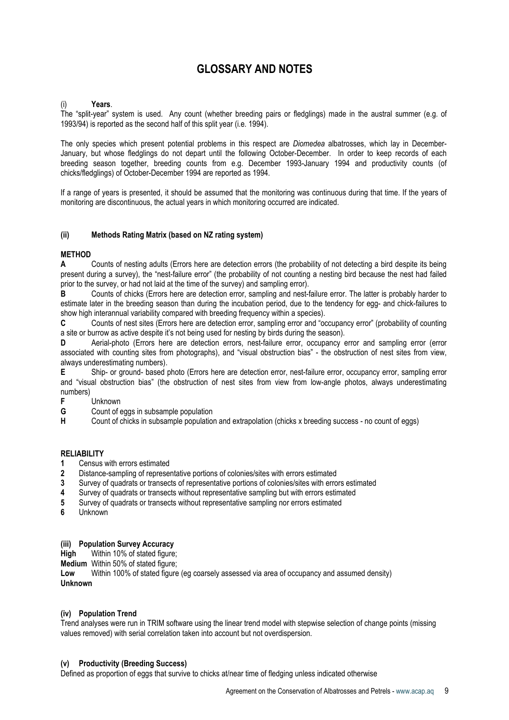# GLOSSARY AND NOTES

## (i) Years.

The "split-year" system is used. Any count (whether breeding pairs or fledglings) made in the austral summer (e.g. of 1993/94) is reported as the second half of this split year (i.e. 1994).

The only species which present potential problems in this respect are Diomedea albatrosses, which lay in December-January, but whose fledglings do not depart until the following October-December. In order to keep records of each breeding season together, breeding counts from e.g. December 1993-January 1994 and productivity counts (of chicks/fledglings) of October-December 1994 are reported as 1994.

If a range of years is presented, it should be assumed that the monitoring was continuous during that time. If the years of monitoring are discontinuous, the actual years in which monitoring occurred are indicated.

#### (ii) Methods Rating Matrix (based on NZ rating system)

#### METHOD

A Counts of nesting adults (Errors here are detection errors (the probability of not detecting a bird despite its being present during a survey), the "nest-failure error" (the probability of not counting a nesting bird because the nest had failed prior to the survey, or had not laid at the time of the survey) and sampling error).

B Counts of chicks (Errors here are detection error, sampling and nest-failure error. The latter is probably harder to estimate later in the breeding season than during the incubation period, due to the tendency for egg- and chick-failures to show high interannual variability compared with breeding frequency within a species).

C Counts of nest sites (Errors here are detection error, sampling error and "occupancy error" (probability of counting a site or burrow as active despite it's not being used for nesting by birds during the season).

D Aerial-photo (Errors here are detection errors, nest-failure error, occupancy error and sampling error (error associated with counting sites from photographs), and "visual obstruction bias" - the obstruction of nest sites from view, always underestimating numbers).

E Ship- or ground- based photo (Errors here are detection error, nest-failure error, occupancy error, sampling error and "visual obstruction bias" (the obstruction of nest sites from view from low-angle photos, always underestimating numbers)

**F** Unknown<br>**G** Count of e

Count of eggs in subsample population

H Count of chicks in subsample population and extrapolation (chicks x breeding success - no count of eggs)

#### **RELIABILITY**

- 1 Census with errors estimated
- 2 Distance-sampling of representative portions of colonies/sites with errors estimated
- 3 Survey of quadrats or transects of representative portions of colonies/sites with errors estimated<br>4 Survey of quadrats or transects without representative sampling but with errors estimated
- 4 Survey of quadrats or transects without representative sampling but with errors estimated<br>5 Survey of quadrats or transects without representative sampling nor errors estimated
- 5 Survey of quadrats or transects without representative sampling nor errors estimated
- 6 Unknown

#### (iii) Population Survey Accuracy

High Within 10% of stated figure:

Medium Within 50% of stated figure;

Low Within 100% of stated figure (eg coarsely assessed via area of occupancy and assumed density) Unknown

#### (iv) Population Trend

Trend analyses were run in TRIM software using the linear trend model with stepwise selection of change points (missing values removed) with serial correlation taken into account but not overdispersion.

#### (v) Productivity (Breeding Success)

Defined as proportion of eggs that survive to chicks at/near time of fledging unless indicated otherwise